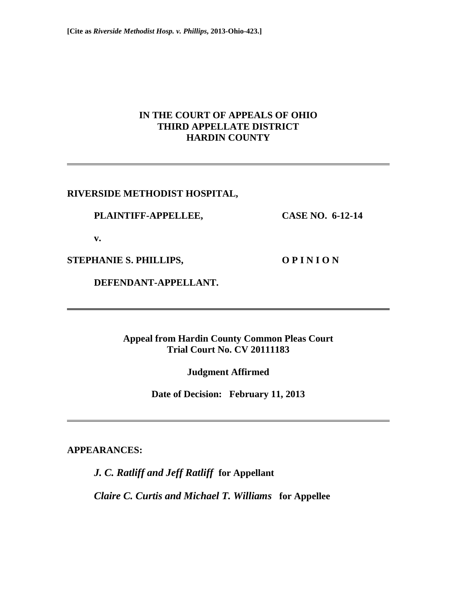## **IN THE COURT OF APPEALS OF OHIO THIRD APPELLATE DISTRICT HARDIN COUNTY**

### **RIVERSIDE METHODIST HOSPITAL,**

#### **PLAINTIFF-APPELLEE, CASE NO. 6-12-14**

 **v.** 

STEPHANIE S. PHILLIPS, **OPINION** 

 **DEFENDANT-APPELLANT.** 

**Appeal from Hardin County Common Pleas Court Trial Court No. CV 20111183** 

**Judgment Affirmed** 

**Date of Decision: February 11, 2013** 

**APPEARANCES:** 

*J. C. Ratliff and Jeff Ratliff* **for Appellant**  *Claire C. Curtis and Michael T. Williams* **for Appellee**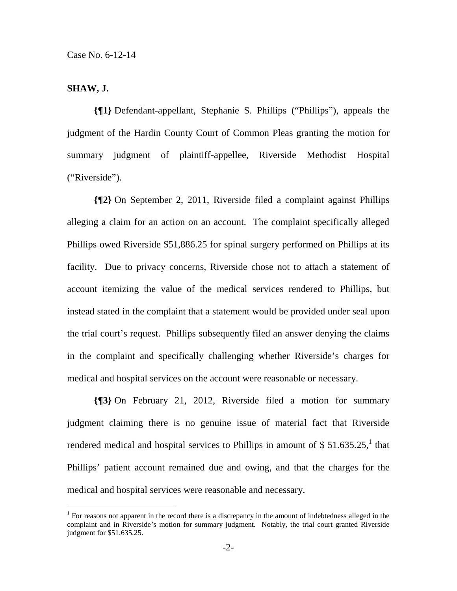### **SHAW, J.**

**{¶1}** Defendant-appellant, Stephanie S. Phillips ("Phillips"), appeals the judgment of the Hardin County Court of Common Pleas granting the motion for summary judgment of plaintiff-appellee, Riverside Methodist Hospital ("Riverside").

**{¶2}** On September 2, 2011, Riverside filed a complaint against Phillips alleging a claim for an action on an account. The complaint specifically alleged Phillips owed Riverside \$51,886.25 for spinal surgery performed on Phillips at its facility. Due to privacy concerns, Riverside chose not to attach a statement of account itemizing the value of the medical services rendered to Phillips, but instead stated in the complaint that a statement would be provided under seal upon the trial court's request. Phillips subsequently filed an answer denying the claims in the complaint and specifically challenging whether Riverside's charges for medical and hospital services on the account were reasonable or necessary.

**{¶3}** On February 21, 2012, Riverside filed a motion for summary judgment claiming there is no genuine issue of material fact that Riverside rendered medical and hospital services to Phillips in amount of \$51.635.25,<sup>1</sup> that Phillips' patient account remained due and owing, and that the charges for the medical and hospital services were reasonable and necessary.

<sup>&</sup>lt;sup>1</sup> For reasons not apparent in the record there is a discrepancy in the amount of indebtedness alleged in the complaint and in Riverside's motion for summary judgment. Notably, the trial court granted Riverside judgment for \$51,635.25.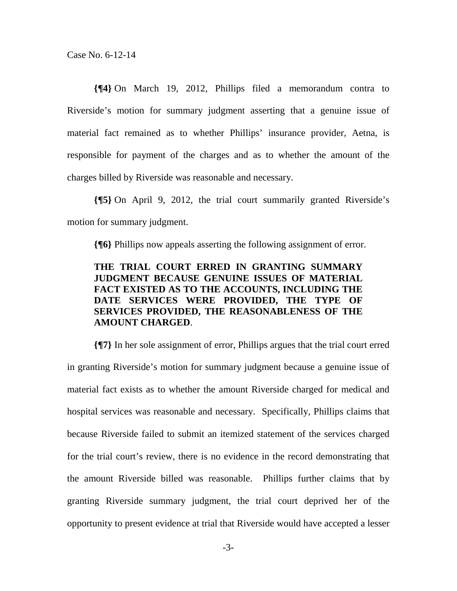Case No. 6-12-14

**{¶4}** On March 19, 2012, Phillips filed a memorandum contra to Riverside's motion for summary judgment asserting that a genuine issue of material fact remained as to whether Phillips' insurance provider, Aetna, is responsible for payment of the charges and as to whether the amount of the charges billed by Riverside was reasonable and necessary.

**{¶5}** On April 9, 2012, the trial court summarily granted Riverside's motion for summary judgment.

**{¶6}** Phillips now appeals asserting the following assignment of error.

# **THE TRIAL COURT ERRED IN GRANTING SUMMARY JUDGMENT BECAUSE GENUINE ISSUES OF MATERIAL FACT EXISTED AS TO THE ACCOUNTS, INCLUDING THE DATE SERVICES WERE PROVIDED, THE TYPE OF SERVICES PROVIDED, THE REASONABLENESS OF THE AMOUNT CHARGED**.

**{¶7}** In her sole assignment of error, Phillips argues that the trial court erred in granting Riverside's motion for summary judgment because a genuine issue of material fact exists as to whether the amount Riverside charged for medical and hospital services was reasonable and necessary. Specifically, Phillips claims that because Riverside failed to submit an itemized statement of the services charged for the trial court's review, there is no evidence in the record demonstrating that the amount Riverside billed was reasonable. Phillips further claims that by granting Riverside summary judgment, the trial court deprived her of the opportunity to present evidence at trial that Riverside would have accepted a lesser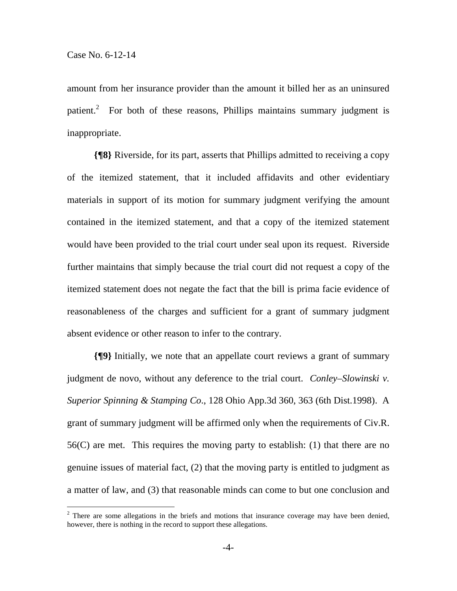$\overline{a}$ 

amount from her insurance provider than the amount it billed her as an uninsured patient.<sup>2</sup> For both of these reasons, Phillips maintains summary judgment is inappropriate.

**{¶8}** Riverside, for its part, asserts that Phillips admitted to receiving a copy of the itemized statement, that it included affidavits and other evidentiary materials in support of its motion for summary judgment verifying the amount contained in the itemized statement, and that a copy of the itemized statement would have been provided to the trial court under seal upon its request. Riverside further maintains that simply because the trial court did not request a copy of the itemized statement does not negate the fact that the bill is prima facie evidence of reasonableness of the charges and sufficient for a grant of summary judgment absent evidence or other reason to infer to the contrary.

**{¶9}** Initially, we note that an appellate court reviews a grant of summary judgment de novo, without any deference to the trial court. *Conley–Slowinski v. Superior Spinning & Stamping Co*., 128 Ohio App.3d 360, 363 (6th Dist.1998). A grant of summary judgment will be affirmed only when the requirements of Civ.R. 56(C) are met. This requires the moving party to establish: (1) that there are no genuine issues of material fact, (2) that the moving party is entitled to judgment as a matter of law, and (3) that reasonable minds can come to but one conclusion and

 $2$  There are some allegations in the briefs and motions that insurance coverage may have been denied, however, there is nothing in the record to support these allegations.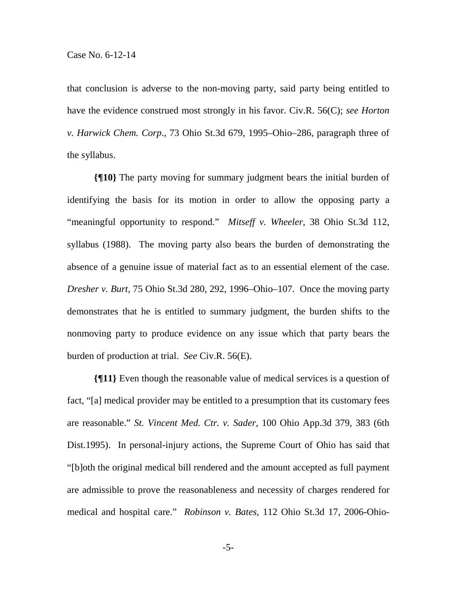that conclusion is adverse to the non-moving party, said party being entitled to have the evidence construed most strongly in his favor. Civ.R. 56(C); *see Horton v. Harwick Chem. Corp*., 73 Ohio St.3d 679, 1995–Ohio–286, paragraph three of the syllabus.

**{¶10}** The party moving for summary judgment bears the initial burden of identifying the basis for its motion in order to allow the opposing party a "meaningful opportunity to respond." *Mitseff v. Wheeler*, 38 Ohio St.3d 112, syllabus (1988). The moving party also bears the burden of demonstrating the absence of a genuine issue of material fact as to an essential element of the case. *Dresher v. Burt*, 75 Ohio St.3d 280, 292, 1996–Ohio–107. Once the moving party demonstrates that he is entitled to summary judgment, the burden shifts to the nonmoving party to produce evidence on any issue which that party bears the burden of production at trial. *See* Civ.R. 56(E).

**{¶11}** Even though the reasonable value of medical services is a question of fact, "[a] medical provider may be entitled to a presumption that its customary fees are reasonable." *St. Vincent Med. Ctr. v. Sader*, 100 Ohio App.3d 379, 383 (6th Dist.1995). In personal-injury actions, the Supreme Court of Ohio has said that "[b]oth the original medical bill rendered and the amount accepted as full payment are admissible to prove the reasonableness and necessity of charges rendered for medical and hospital care." *Robinson v. Bates*, 112 Ohio St.3d 17, 2006-Ohio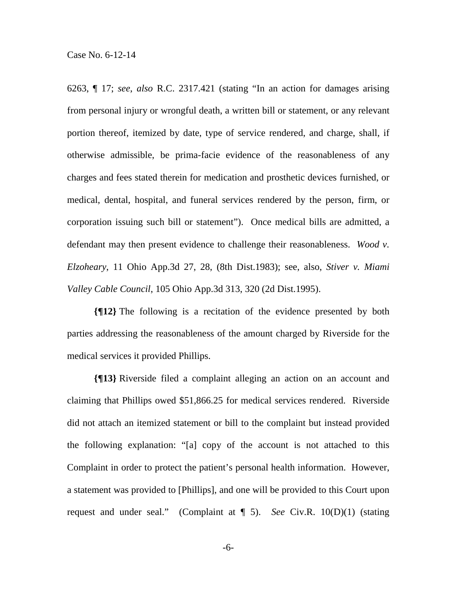6263, ¶ 17; *see*, *also* R.C. 2317.421 (stating "In an action for damages arising from personal injury or wrongful death, a written bill or statement, or any relevant portion thereof, itemized by date, type of service rendered, and charge, shall, if otherwise admissible, be prima-facie evidence of the reasonableness of any charges and fees stated therein for medication and prosthetic devices furnished, or medical, dental, hospital, and funeral services rendered by the person, firm, or corporation issuing such bill or statement"). Once medical bills are admitted, a defendant may then present evidence to challenge their reasonableness. *Wood v. Elzoheary*, 11 Ohio App.3d 27, 28, (8th Dist.1983); see, also, *Stiver v. Miami Valley Cable Council*, 105 Ohio App.3d 313, 320 (2d Dist.1995).

**{¶12}** The following is a recitation of the evidence presented by both parties addressing the reasonableness of the amount charged by Riverside for the medical services it provided Phillips.

**{¶13}** Riverside filed a complaint alleging an action on an account and claiming that Phillips owed \$51,866.25 for medical services rendered. Riverside did not attach an itemized statement or bill to the complaint but instead provided the following explanation: "[a] copy of the account is not attached to this Complaint in order to protect the patient's personal health information. However, a statement was provided to [Phillips], and one will be provided to this Court upon request and under seal." (Complaint at ¶ 5). *See* Civ.R. 10(D)(1) (stating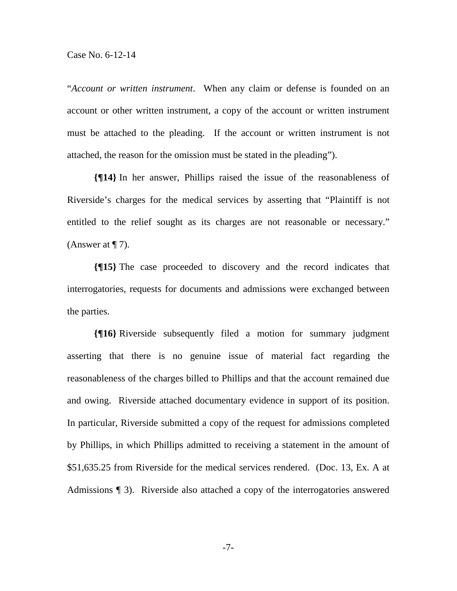"*Account or written instrument*. When any claim or defense is founded on an account or other written instrument, a copy of the account or written instrument must be attached to the pleading. If the account or written instrument is not attached, the reason for the omission must be stated in the pleading").

**{¶14}** In her answer, Phillips raised the issue of the reasonableness of Riverside's charges for the medical services by asserting that "Plaintiff is not entitled to the relief sought as its charges are not reasonable or necessary." (Answer at  $\P$  7).

**{¶15}** The case proceeded to discovery and the record indicates that interrogatories, requests for documents and admissions were exchanged between the parties.

**{¶16}** Riverside subsequently filed a motion for summary judgment asserting that there is no genuine issue of material fact regarding the reasonableness of the charges billed to Phillips and that the account remained due and owing. Riverside attached documentary evidence in support of its position. In particular, Riverside submitted a copy of the request for admissions completed by Phillips, in which Phillips admitted to receiving a statement in the amount of \$51,635.25 from Riverside for the medical services rendered. (Doc. 13, Ex. A at Admissions ¶ 3). Riverside also attached a copy of the interrogatories answered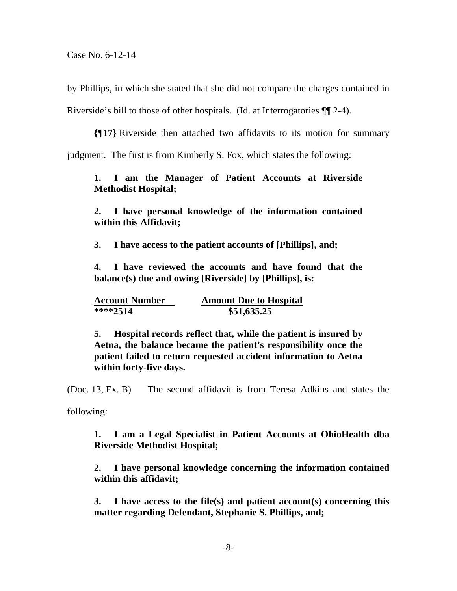by Phillips, in which she stated that she did not compare the charges contained in

Riverside's bill to those of other hospitals. (Id. at Interrogatories ¶¶ 2-4).

**{¶17}** Riverside then attached two affidavits to its motion for summary

judgment. The first is from Kimberly S. Fox, which states the following:

### **1. I am the Manager of Patient Accounts at Riverside Methodist Hospital;**

**2. I have personal knowledge of the information contained within this Affidavit;** 

**3. I have access to the patient accounts of [Phillips], and;** 

**4. I have reviewed the accounts and have found that the balance(s) due and owing [Riverside] by [Phillips], is:** 

| <b>Account Number</b> | <b>Amount Due to Hospital</b> |
|-----------------------|-------------------------------|
| $***2514$             | \$51,635.25                   |

**5. Hospital records reflect that, while the patient is insured by Aetna, the balance became the patient's responsibility once the patient failed to return requested accident information to Aetna within forty-five days.** 

(Doc. 13, Ex. B) The second affidavit is from Teresa Adkins and states the

following:

**1. I am a Legal Specialist in Patient Accounts at OhioHealth dba Riverside Methodist Hospital;** 

**2. I have personal knowledge concerning the information contained within this affidavit;** 

**3. I have access to the file(s) and patient account(s) concerning this matter regarding Defendant, Stephanie S. Phillips, and;**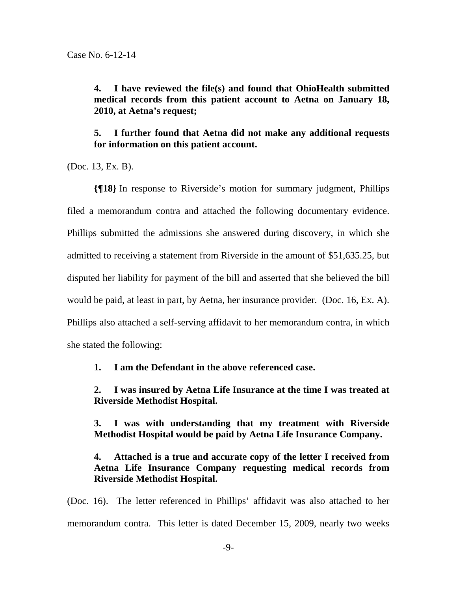**4. I have reviewed the file(s) and found that OhioHealth submitted medical records from this patient account to Aetna on January 18, 2010, at Aetna's request;** 

**5. I further found that Aetna did not make any additional requests for information on this patient account.** 

(Doc. 13, Ex. B).

**{¶18}** In response to Riverside's motion for summary judgment, Phillips filed a memorandum contra and attached the following documentary evidence. Phillips submitted the admissions she answered during discovery, in which she admitted to receiving a statement from Riverside in the amount of \$51,635.25, but disputed her liability for payment of the bill and asserted that she believed the bill would be paid, at least in part, by Aetna, her insurance provider. (Doc. 16, Ex. A). Phillips also attached a self-serving affidavit to her memorandum contra, in which she stated the following:

**1. I am the Defendant in the above referenced case.** 

**2. I was insured by Aetna Life Insurance at the time I was treated at Riverside Methodist Hospital.** 

**3. I was with understanding that my treatment with Riverside Methodist Hospital would be paid by Aetna Life Insurance Company.** 

# **4. Attached is a true and accurate copy of the letter I received from Aetna Life Insurance Company requesting medical records from Riverside Methodist Hospital.**

(Doc. 16). The letter referenced in Phillips' affidavit was also attached to her memorandum contra. This letter is dated December 15, 2009, nearly two weeks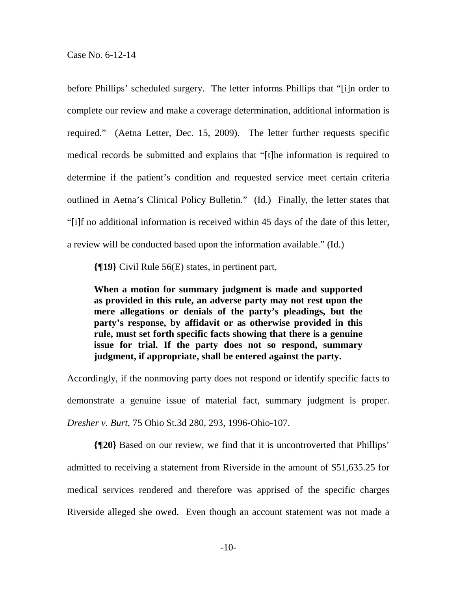before Phillips' scheduled surgery. The letter informs Phillips that "[i]n order to complete our review and make a coverage determination, additional information is required." (Aetna Letter, Dec. 15, 2009). The letter further requests specific medical records be submitted and explains that "[t]he information is required to determine if the patient's condition and requested service meet certain criteria outlined in Aetna's Clinical Policy Bulletin." (Id.) Finally, the letter states that "[i]f no additional information is received within 45 days of the date of this letter, a review will be conducted based upon the information available." (Id.)

**{¶19}** Civil Rule 56(E) states, in pertinent part,

**When a motion for summary judgment is made and supported as provided in this rule, an adverse party may not rest upon the mere allegations or denials of the party's pleadings, but the party's response, by affidavit or as otherwise provided in this rule, must set forth specific facts showing that there is a genuine issue for trial. If the party does not so respond, summary judgment, if appropriate, shall be entered against the party.** 

Accordingly, if the nonmoving party does not respond or identify specific facts to demonstrate a genuine issue of material fact, summary judgment is proper. *Dresher v. Burt*, 75 Ohio St.3d 280, 293, 1996-Ohio-107.

**{¶20}** Based on our review, we find that it is uncontroverted that Phillips' admitted to receiving a statement from Riverside in the amount of \$51,635.25 for medical services rendered and therefore was apprised of the specific charges Riverside alleged she owed. Even though an account statement was not made a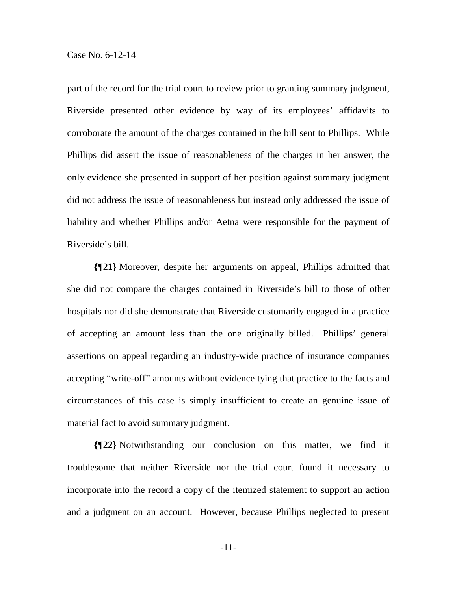part of the record for the trial court to review prior to granting summary judgment, Riverside presented other evidence by way of its employees' affidavits to corroborate the amount of the charges contained in the bill sent to Phillips. While Phillips did assert the issue of reasonableness of the charges in her answer, the only evidence she presented in support of her position against summary judgment did not address the issue of reasonableness but instead only addressed the issue of liability and whether Phillips and/or Aetna were responsible for the payment of Riverside's bill.

**{¶21}** Moreover, despite her arguments on appeal, Phillips admitted that she did not compare the charges contained in Riverside's bill to those of other hospitals nor did she demonstrate that Riverside customarily engaged in a practice of accepting an amount less than the one originally billed. Phillips' general assertions on appeal regarding an industry-wide practice of insurance companies accepting "write-off" amounts without evidence tying that practice to the facts and circumstances of this case is simply insufficient to create an genuine issue of material fact to avoid summary judgment.

**{¶22}** Notwithstanding our conclusion on this matter, we find it troublesome that neither Riverside nor the trial court found it necessary to incorporate into the record a copy of the itemized statement to support an action and a judgment on an account. However, because Phillips neglected to present

-11-